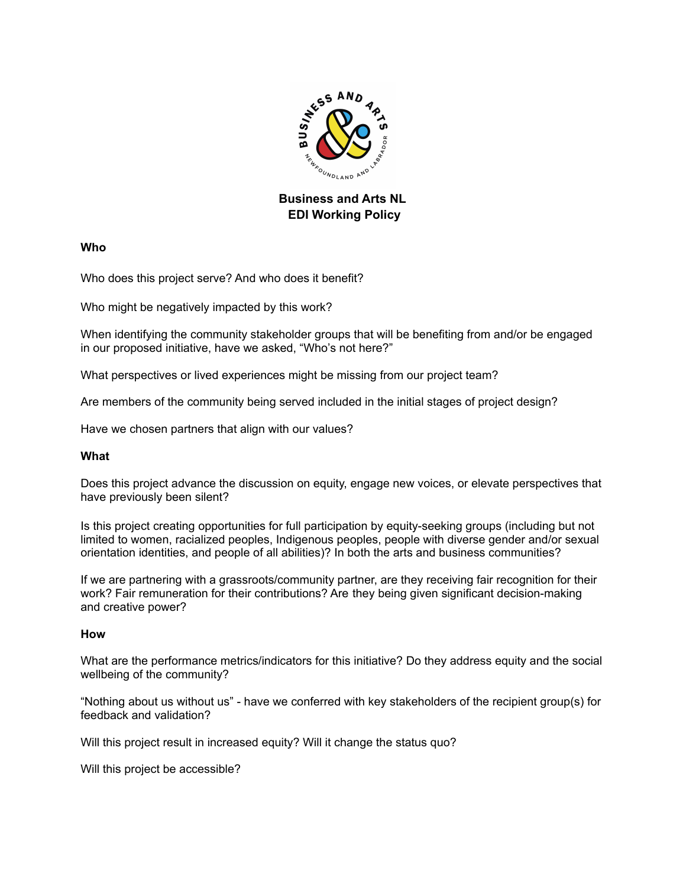

## **Business and Arts NL EDI Working Policy**

**Who**

Who does this project serve? And who does it benefit?

Who might be negatively impacted by this work?

When identifying the community stakeholder groups that will be benefiting from and/or be engaged in our proposed initiative, have we asked, "Who's not here?"

What perspectives or lived experiences might be missing from our project team?

Are members of the community being served included in the initial stages of project design?

Have we chosen partners that align with our values?

## **What**

Does this project advance the discussion on equity, engage new voices, or elevate perspectives that have previously been silent?

Is this project creating opportunities for full participation by equity-seeking groups (including but not limited to women, racialized peoples, Indigenous peoples, people with diverse gender and/or sexual orientation identities, and people of all abilities)? In both the arts and business communities?

If we are partnering with a grassroots/community partner, are they receiving fair recognition for their work? Fair remuneration for their contributions? Are they being given significant decision-making and creative power?

## **How**

What are the performance metrics/indicators for this initiative? Do they address equity and the social wellbeing of the community?

"Nothing about us without us" - have we conferred with key stakeholders of the recipient group(s) for feedback and validation?

Will this project result in increased equity? Will it change the status quo?

Will this project be accessible?